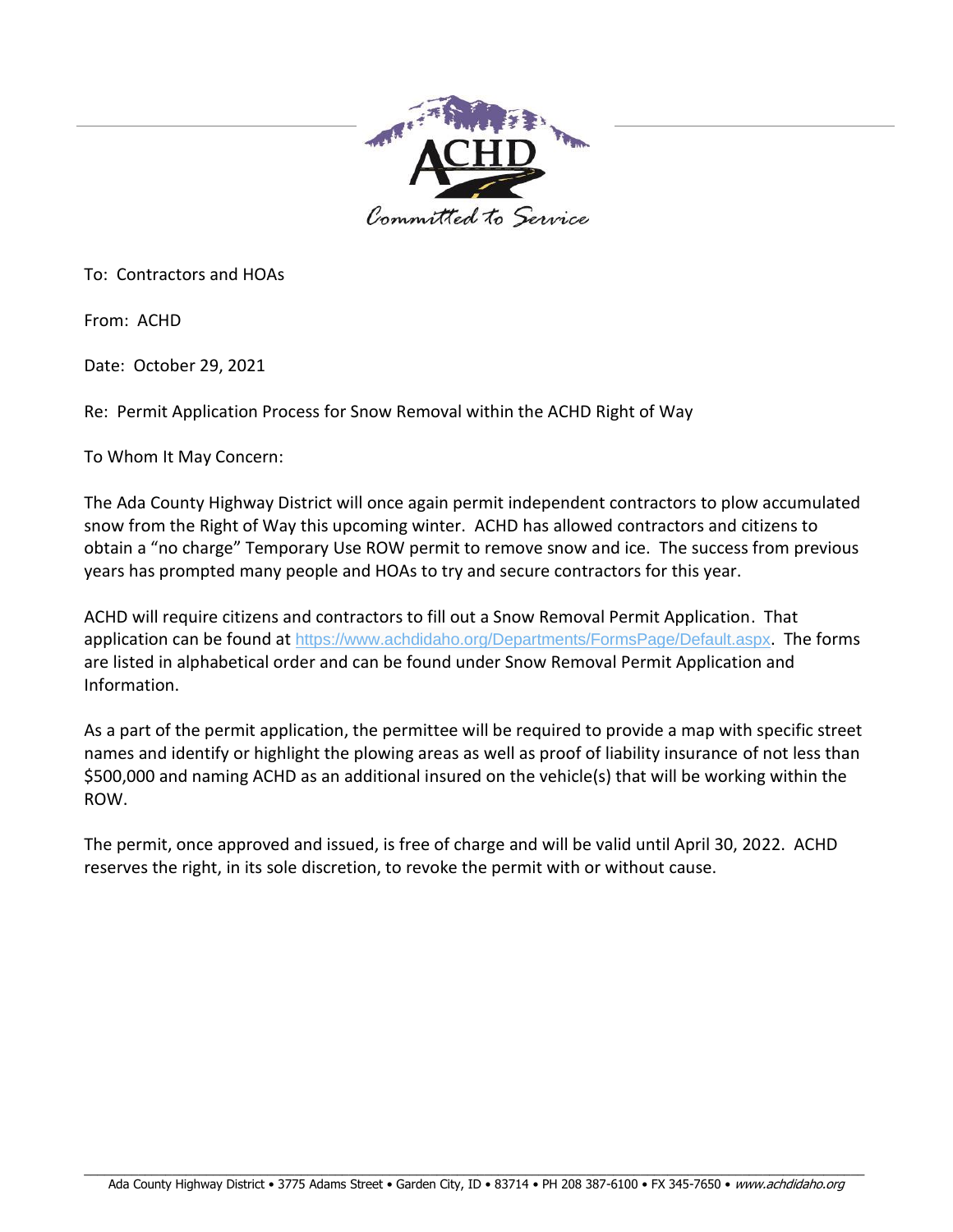

To: Contractors and HOAs

From: ACHD

Date: October 29, 2021

Re: Permit Application Process for Snow Removal within the ACHD Right of Way

To Whom It May Concern:

The Ada County Highway District will once again permit independent contractors to plow accumulated snow from the Right of Way this upcoming winter. ACHD has allowed contractors and citizens to obtain a "no charge" Temporary Use ROW permit to remove snow and ice. The success from previous years has prompted many people and HOAs to try and secure contractors for this year.

ACHD will require citizens and contractors to fill out a Snow Removal Permit Application. That application can be found at <https://www.achdidaho.org/Departments/FormsPage/Default.aspx>. The forms are listed in alphabetical order and can be found under Snow Removal Permit Application and Information.

As a part of the permit application, the permittee will be required to provide a map with specific street names and identify or highlight the plowing areas as well as proof of liability insurance of not less than \$500,000 and naming ACHD as an additional insured on the vehicle(s) that will be working within the ROW.

The permit, once approved and issued, is free of charge and will be valid until April 30, 2022. ACHD reserves the right, in its sole discretion, to revoke the permit with or without cause.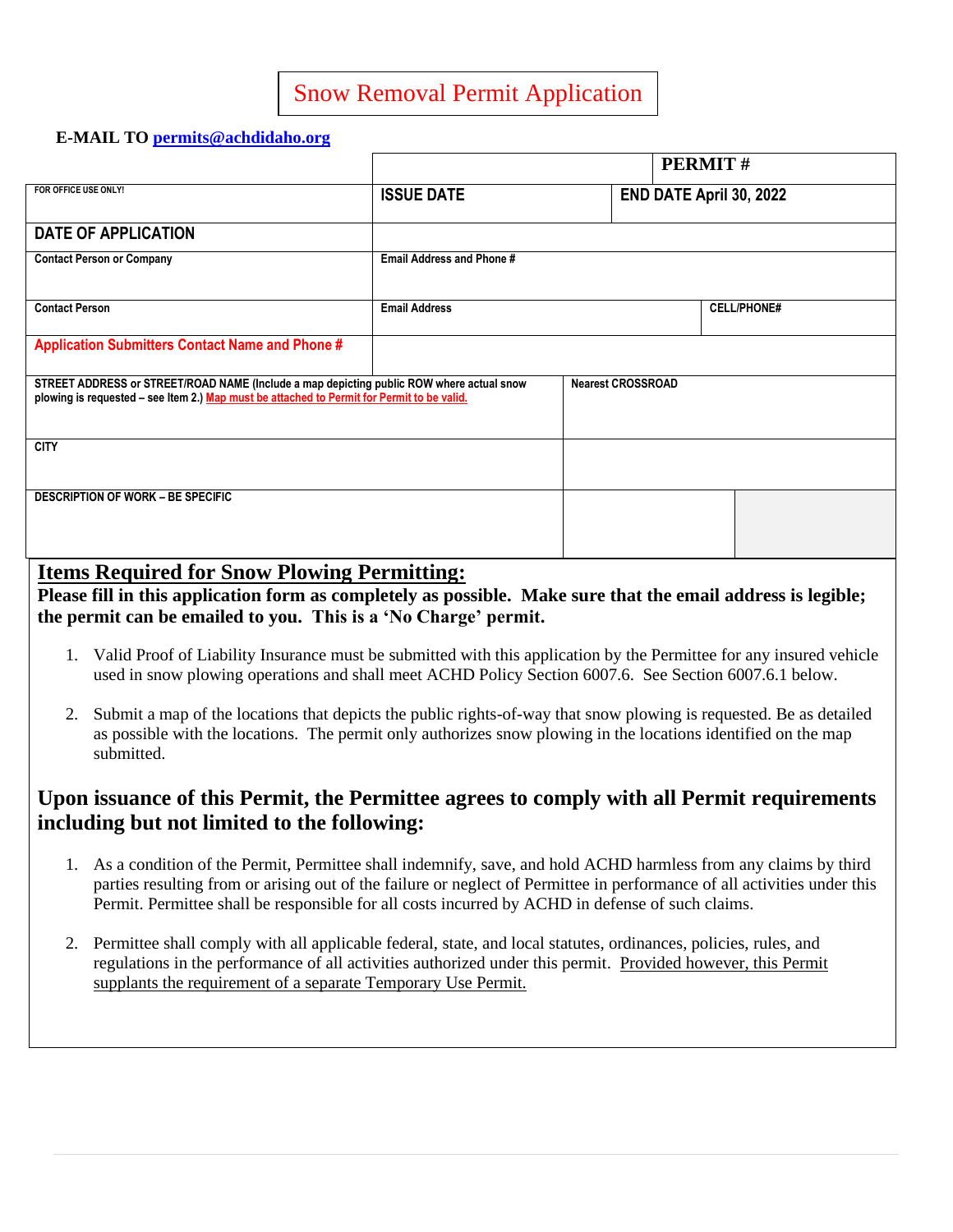## Snow Removal Permit Application

### **E-MAIL TO [permits@achdidaho.org](mailto:permits@achdidaho.org)**

|                                                                                                                                                                                        |                                  |                          | <b>PERMIT#</b>          |
|----------------------------------------------------------------------------------------------------------------------------------------------------------------------------------------|----------------------------------|--------------------------|-------------------------|
| FOR OFFICE USE ONLY!                                                                                                                                                                   | <b>ISSUE DATE</b>                |                          | END DATE April 30, 2022 |
| <b>DATE OF APPLICATION</b>                                                                                                                                                             |                                  |                          |                         |
| <b>Contact Person or Company</b>                                                                                                                                                       | <b>Email Address and Phone #</b> |                          |                         |
| <b>Contact Person</b>                                                                                                                                                                  | <b>Email Address</b>             |                          | <b>CELL/PHONE#</b>      |
| <b>Application Submitters Contact Name and Phone #</b>                                                                                                                                 |                                  |                          |                         |
| STREET ADDRESS or STREET/ROAD NAME (Include a map depicting public ROW where actual snow<br>plowing is requested - see Item 2.) Map must be attached to Permit for Permit to be valid. |                                  | <b>Nearest CROSSROAD</b> |                         |
| <b>CITY</b>                                                                                                                                                                            |                                  |                          |                         |
| <b>DESCRIPTION OF WORK - BE SPECIFIC</b>                                                                                                                                               |                                  |                          |                         |

### **Items Required for Snow Plowing Permitting:**

**Please fill in this application form as completely as possible. Make sure that the email address is legible; the permit can be emailed to you. This is a 'No Charge' permit.**

- 1. Valid Proof of Liability Insurance must be submitted with this application by the Permittee for any insured vehicle used in snow plowing operations and shall meet ACHD Policy Section 6007.6. See Section 6007.6.1 below.
- 2. Submit a map of the locations that depicts the public rights-of-way that snow plowing is requested. Be as detailed as possible with the locations. The permit only authorizes snow plowing in the locations identified on the map submitted.

## **Upon issuance of this Permit, the Permittee agrees to comply with all Permit requirements including but not limited to the following:**

- 1. As a condition of the Permit, Permittee shall indemnify, save, and hold ACHD harmless from any claims by third parties resulting from or arising out of the failure or neglect of Permittee in performance of all activities under this Permit. Permittee shall be responsible for all costs incurred by ACHD in defense of such claims.
- 2. Permittee shall comply with all applicable federal, state, and local statutes, ordinances, policies, rules, and regulations in the performance of all activities authorized under this permit. Provided however, this Permit supplants the requirement of a separate Temporary Use Permit.